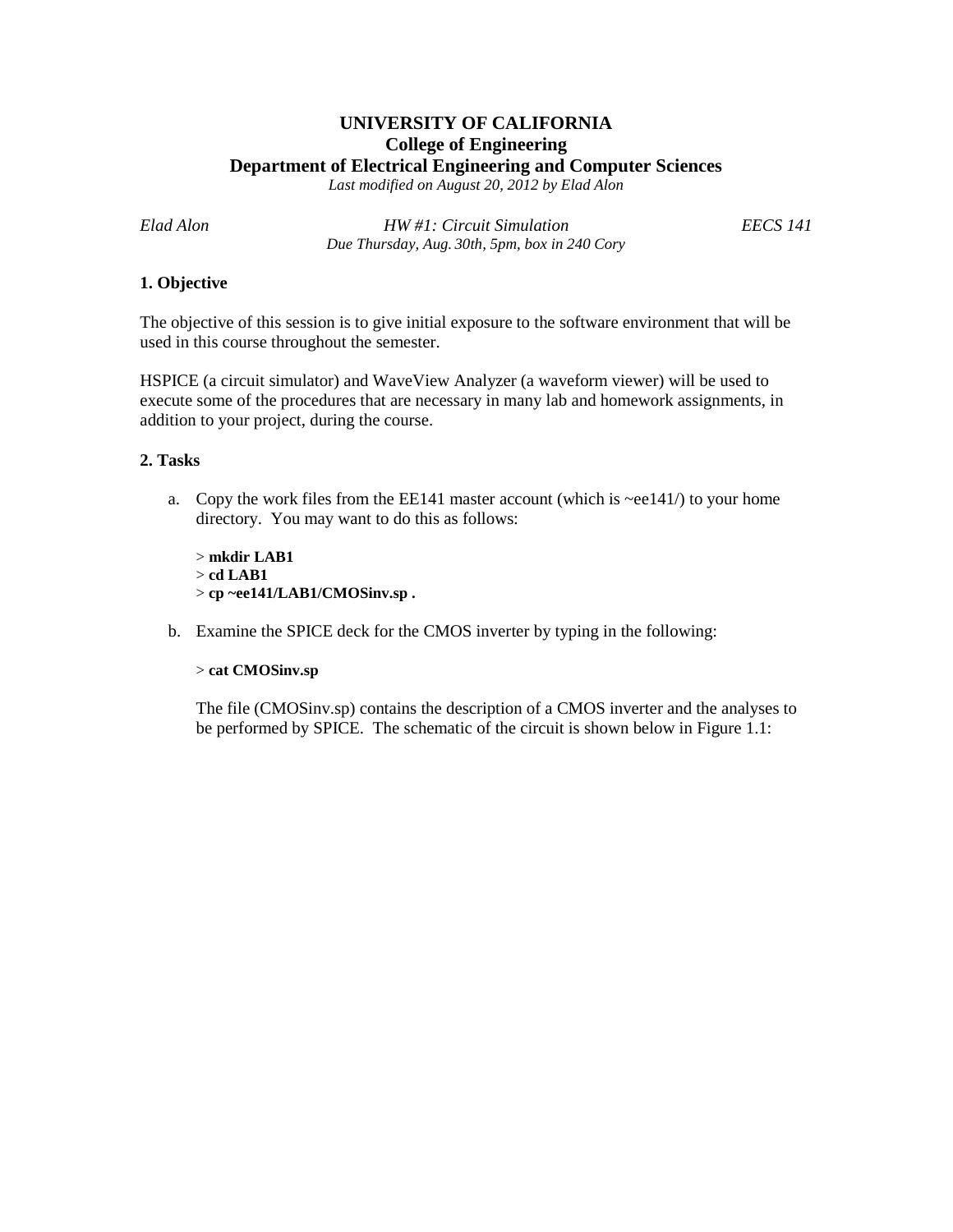# **UNIVERSITY OF CALIFORNIA College of Engineering Department of Electrical Engineering and Computer Sciences**

*Last modified on August 20, 2012 by Elad Alon*

*Elad Alon HW #1: Circuit Simulation EECS 141 Due Thursday, Aug. 30th, 5pm, box in 240 Cory*

## **1. Objective**

The objective of this session is to give initial exposure to the software environment that will be used in this course throughout the semester.

HSPICE (a circuit simulator) and WaveView Analyzer (a waveform viewer) will be used to execute some of the procedures that are necessary in many lab and homework assignments, in addition to your project, during the course.

## **2. Tasks**

a. Copy the work files from the EE141 master account (which is  $\sim$ ee141/) to your home directory. You may want to do this as follows:

> **mkdir LAB1** > **cd LAB1** > **cp ~ee141/LAB1/CMOSinv.sp .**

b. Examine the SPICE deck for the CMOS inverter by typing in the following:

#### > **cat CMOSinv.sp**

The file (CMOSinv.sp) contains the description of a CMOS inverter and the analyses to be performed by SPICE. The schematic of the circuit is shown below in Figure 1.1: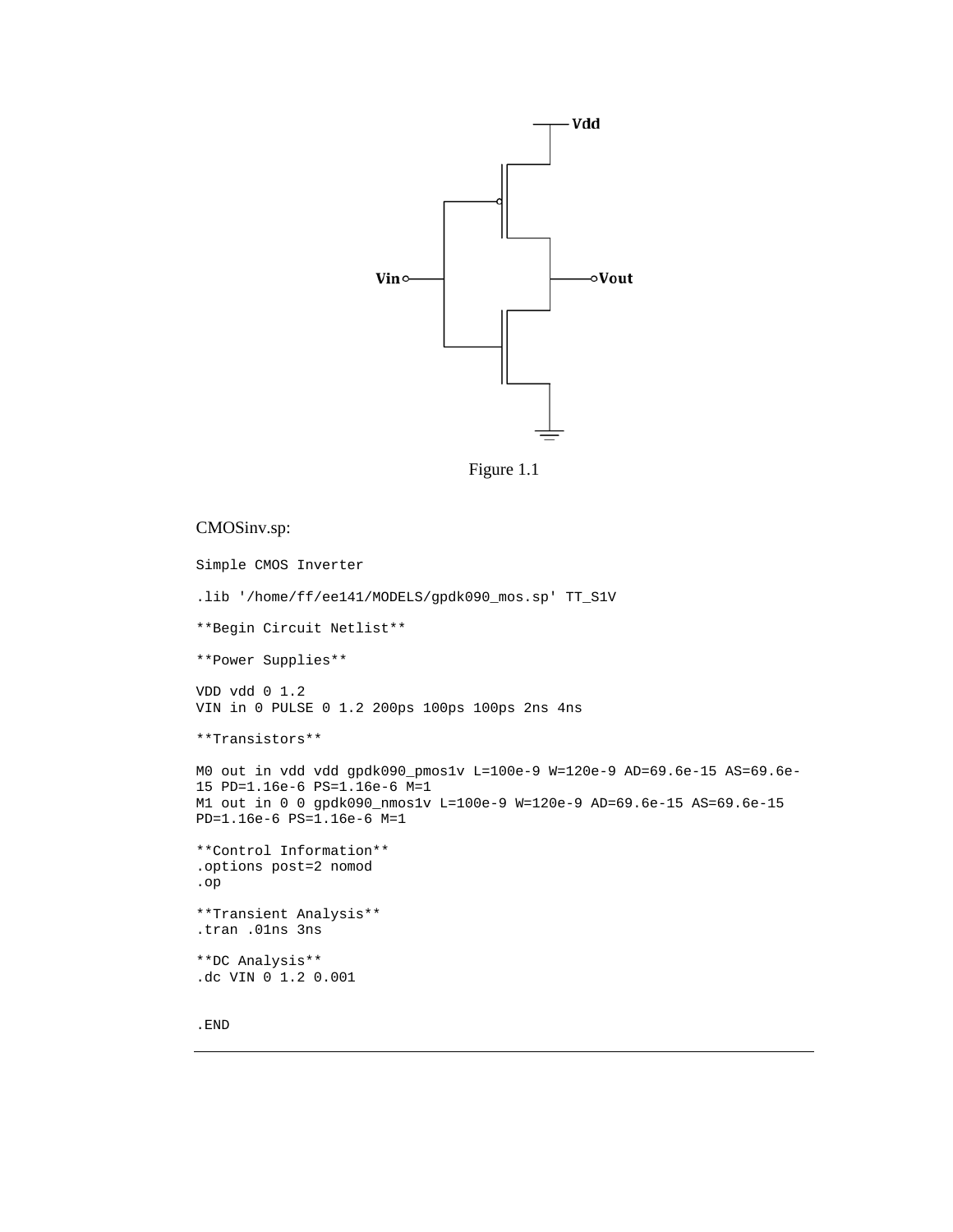

Figure 1.1

#### CMOSinv.sp:

```
Simple CMOS Inverter
.lib '/home/ff/ee141/MODELS/gpdk090_mos.sp' TT_S1V
**Begin Circuit Netlist**
**Power Supplies**
VDD vdd 0 1.2
VIN in 0 PULSE 0 1.2 200ps 100ps 100ps 2ns 4ns
**Transistors**
MO out in vdd vdd gpdk090_pmos1v L=100e-9 W=120e-9 AD=69.6e-15 AS=69.6e-
15 PD=1.16e-6 PS=1.16e-6 M=1
M1 out in 0 0 gpdk090_nmos1v L=100e-9 W=120e-9 AD=69.6e-15 AS=69.6e-15
PD=1.16e-6 PS=1.16e-6 M=1
**Control Information**
.options post=2 nomod
.op
**Transient Analysis**
.tran .01ns 3ns
**DC Analysis**
.dc VIN 0 1.2 0.001
```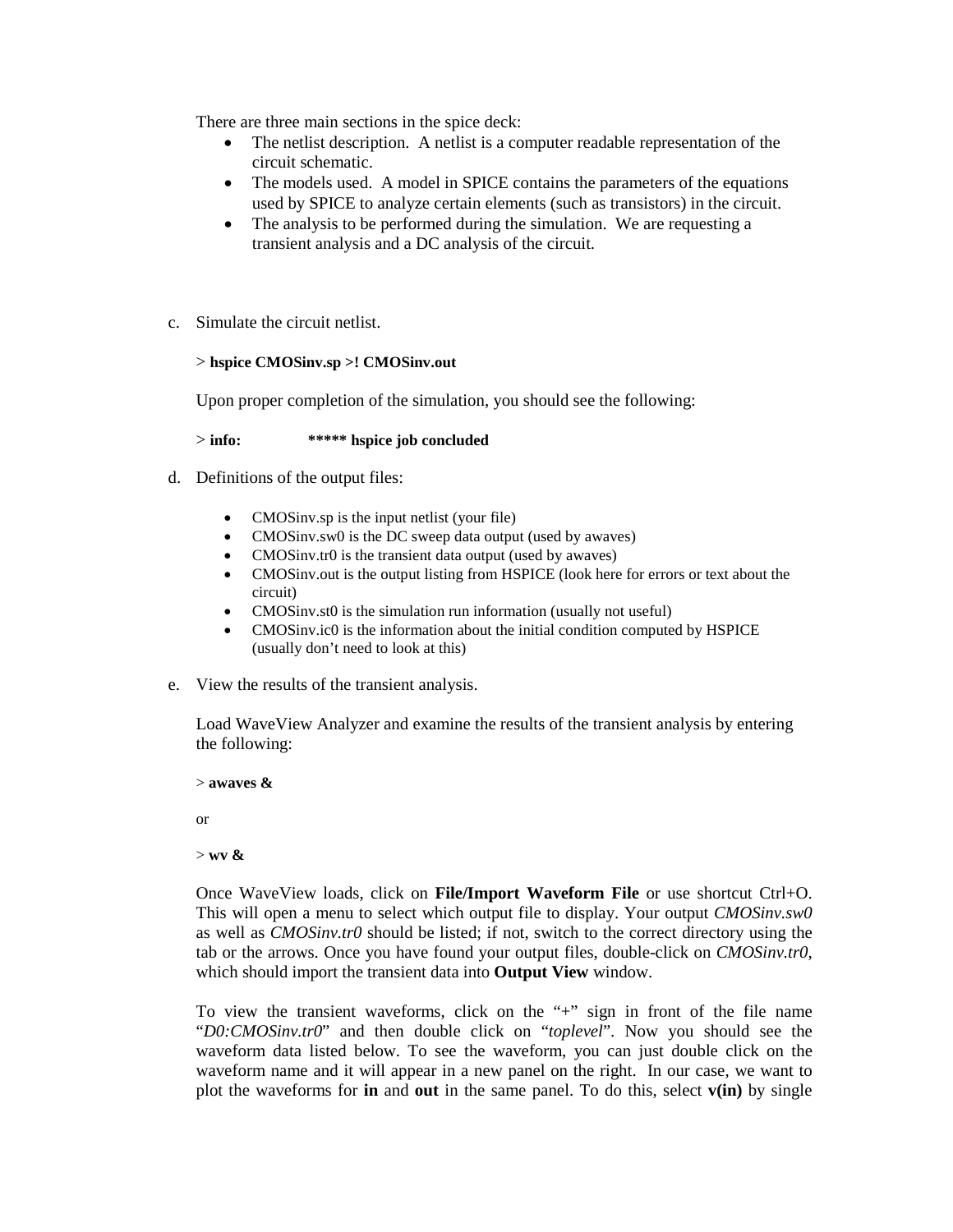There are three main sections in the spice deck:

- The netlist description. A netlist is a computer readable representation of the circuit schematic.
- The models used. A model in SPICE contains the parameters of the equations used by SPICE to analyze certain elements (such as transistors) in the circuit.
- The analysis to be performed during the simulation. We are requesting a transient analysis and a DC analysis of the circuit.
- c. Simulate the circuit netlist.

## > **hspice CMOSinv.sp >! CMOSinv.out**

Upon proper completion of the simulation, you should see the following:

> **info: \*\*\*\*\* hspice job concluded**

- d. Definitions of the output files:
	- CMOSinv.sp is the input netlist (your file)
	- CMOSinv.sw0 is the DC sweep data output (used by awaves)
	- CMOSinv.tr0 is the transient data output (used by awaves)
	- CMOSinv.out is the output listing from HSPICE (look here for errors or text about the circuit)
	- CMOSinv.st0 is the simulation run information (usually not useful)
	- CMOSinv.ic0 is the information about the initial condition computed by HSPICE (usually don't need to look at this)
- e. View the results of the transient analysis.

Load WaveView Analyzer and examine the results of the transient analysis by entering the following:

> **awaves &**

or

> **wv &**

Once WaveView loads, click on **File/Import Waveform File** or use shortcut Ctrl+O. This will open a menu to select which output file to display. Your output *CMOSinv.sw0*  as well as *CMOSinv.tr0* should be listed; if not, switch to the correct directory using the tab or the arrows. Once you have found your output files, double-click on *CMOSinv.tr0*, which should import the transient data into **Output View** window.

To view the transient waveforms, click on the "+" sign in front of the file name "*D0:CMOSinv.tr0*" and then double click on "*toplevel*". Now you should see the waveform data listed below. To see the waveform, you can just double click on the waveform name and it will appear in a new panel on the right. In our case, we want to plot the waveforms for **in** and **out** in the same panel. To do this, select **v(in)** by single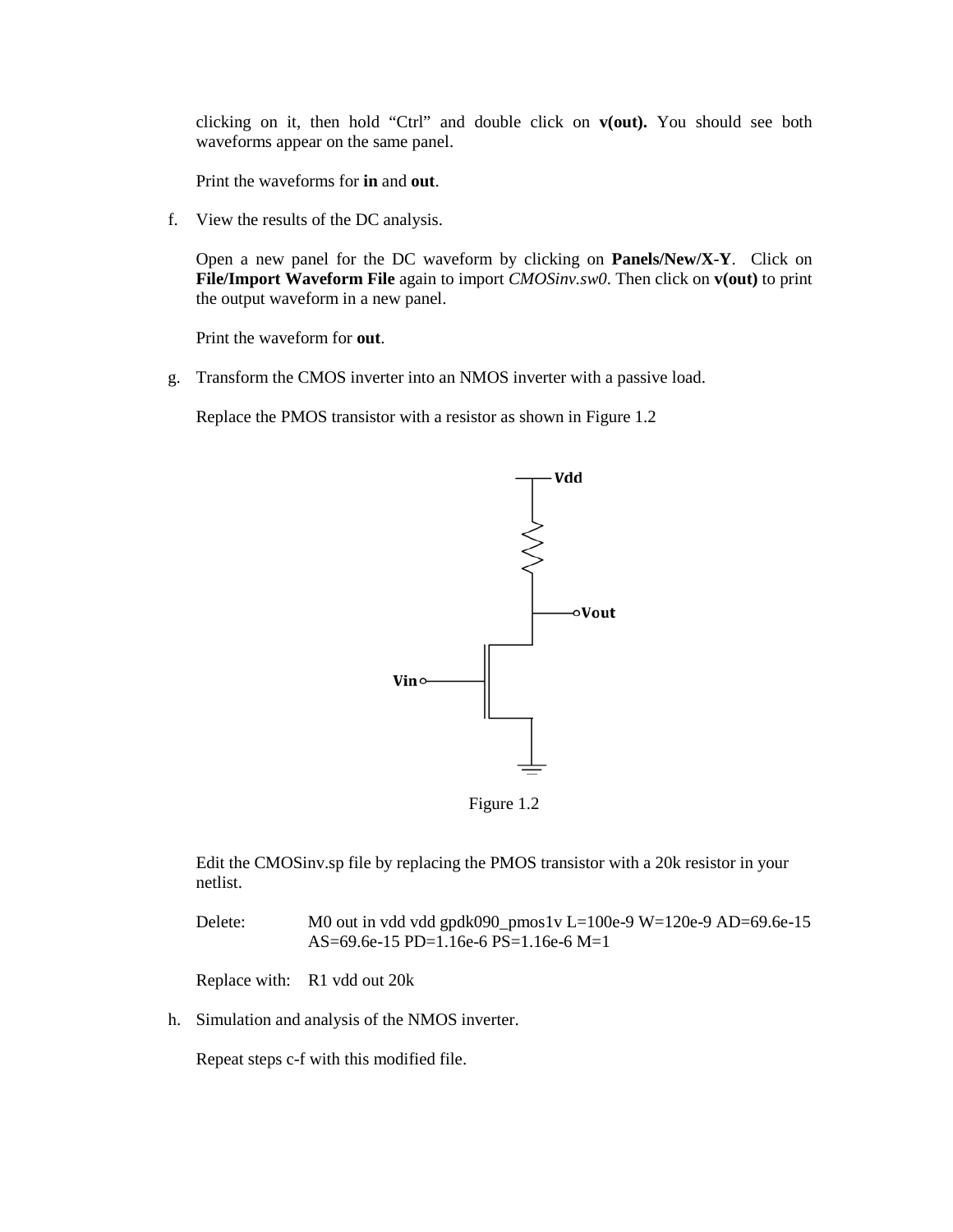clicking on it, then hold "Ctrl" and double click on **v(out).** You should see both waveforms appear on the same panel.

Print the waveforms for **in** and **out**.

f. View the results of the DC analysis.

Open a new panel for the DC waveform by clicking on **Panels/New/X-Y**. Click on **File/Import Waveform File** again to import *CMOSinv.sw0*. Then click on **v(out)** to print the output waveform in a new panel.

Print the waveform for **out**.

g. Transform the CMOS inverter into an NMOS inverter with a passive load.

Replace the PMOS transistor with a resistor as shown in Figure 1.2



Figure 1.2

Edit the CMOSinv.sp file by replacing the PMOS transistor with a 20k resistor in your netlist.

Delete: M0 out in vdd vdd gpdk090\_pmos1v L=100e-9 W=120e-9 AD=69.6e-15 AS=69.6e-15 PD=1.16e-6 PS=1.16e-6 M=1

Replace with: R1 vdd out 20k

h. Simulation and analysis of the NMOS inverter.

Repeat steps c-f with this modified file.